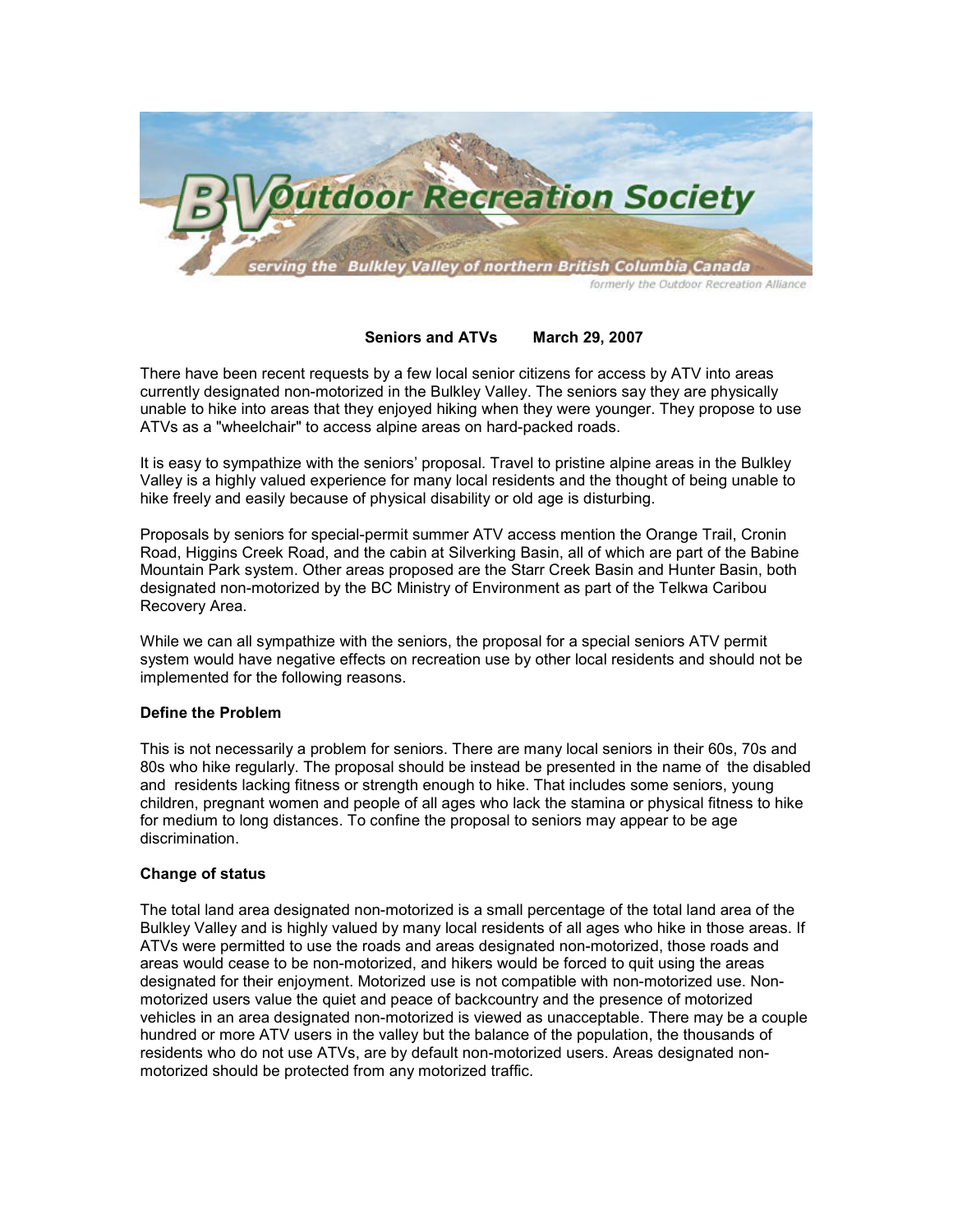

# Seniors and ATVs March 29, 2007

There have been recent requests by a few local senior citizens for access by ATV into areas currently designated non-motorized in the Bulkley Valley. The seniors say they are physically unable to hike into areas that they enjoyed hiking when they were younger. They propose to use ATVs as a "wheelchair" to access alpine areas on hard-packed roads.

It is easy to sympathize with the seniors' proposal. Travel to pristine alpine areas in the Bulkley Valley is a highly valued experience for many local residents and the thought of being unable to hike freely and easily because of physical disability or old age is disturbing.

Proposals by seniors for special-permit summer ATV access mention the Orange Trail, Cronin Road, Higgins Creek Road, and the cabin at Silverking Basin, all of which are part of the Babine Mountain Park system. Other areas proposed are the Starr Creek Basin and Hunter Basin, both designated non-motorized by the BC Ministry of Environment as part of the Telkwa Caribou Recovery Area.

While we can all sympathize with the seniors, the proposal for a special seniors ATV permit system would have negative effects on recreation use by other local residents and should not be implemented for the following reasons.

### Define the Problem

This is not necessarily a problem for seniors. There are many local seniors in their 60s, 70s and 80s who hike regularly. The proposal should be instead be presented in the name of the disabled and residents lacking fitness or strength enough to hike. That includes some seniors, young children, pregnant women and people of all ages who lack the stamina or physical fitness to hike for medium to long distances. To confine the proposal to seniors may appear to be age discrimination.

### Change of status

The total land area designated non-motorized is a small percentage of the total land area of the Bulkley Valley and is highly valued by many local residents of all ages who hike in those areas. If ATVs were permitted to use the roads and areas designated non-motorized, those roads and areas would cease to be non-motorized, and hikers would be forced to quit using the areas designated for their enjoyment. Motorized use is not compatible with non-motorized use. Nonmotorized users value the quiet and peace of backcountry and the presence of motorized vehicles in an area designated non-motorized is viewed as unacceptable. There may be a couple hundred or more ATV users in the valley but the balance of the population, the thousands of residents who do not use ATVs, are by default non-motorized users. Areas designated nonmotorized should be protected from any motorized traffic.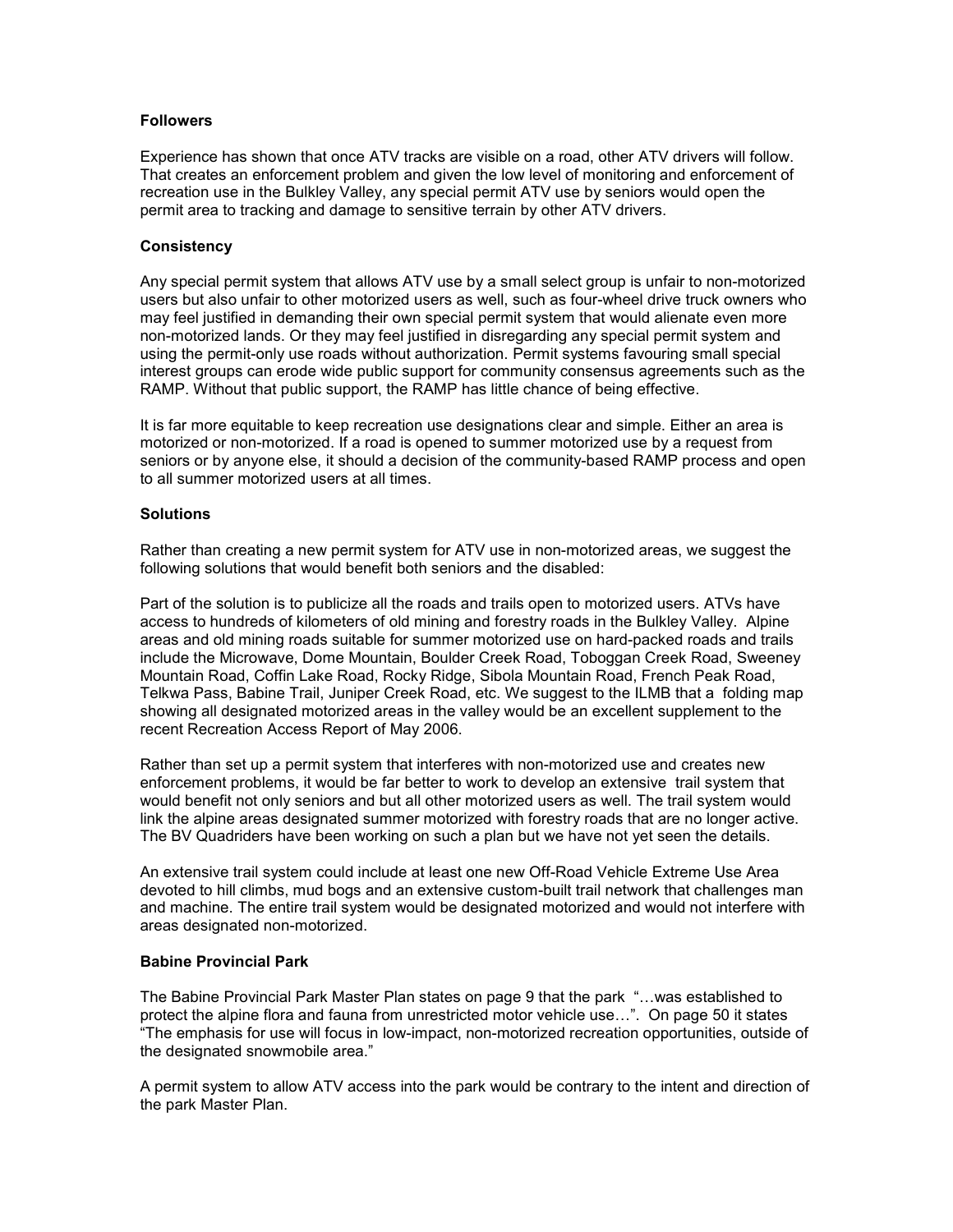## **Followers**

Experience has shown that once ATV tracks are visible on a road, other ATV drivers will follow. That creates an enforcement problem and given the low level of monitoring and enforcement of recreation use in the Bulkley Valley, any special permit ATV use by seniors would open the permit area to tracking and damage to sensitive terrain by other ATV drivers.

## **Consistency**

Any special permit system that allows ATV use by a small select group is unfair to non-motorized users but also unfair to other motorized users as well, such as four-wheel drive truck owners who may feel justified in demanding their own special permit system that would alienate even more non-motorized lands. Or they may feel justified in disregarding any special permit system and using the permit-only use roads without authorization. Permit systems favouring small special interest groups can erode wide public support for community consensus agreements such as the RAMP. Without that public support, the RAMP has little chance of being effective.

It is far more equitable to keep recreation use designations clear and simple. Either an area is motorized or non-motorized. If a road is opened to summer motorized use by a request from seniors or by anyone else, it should a decision of the community-based RAMP process and open to all summer motorized users at all times.

## **Solutions**

Rather than creating a new permit system for ATV use in non-motorized areas, we suggest the following solutions that would benefit both seniors and the disabled:

Part of the solution is to publicize all the roads and trails open to motorized users. ATVs have access to hundreds of kilometers of old mining and forestry roads in the Bulkley Valley. Alpine areas and old mining roads suitable for summer motorized use on hard-packed roads and trails include the Microwave, Dome Mountain, Boulder Creek Road, Toboggan Creek Road, Sweeney Mountain Road, Coffin Lake Road, Rocky Ridge, Sibola Mountain Road, French Peak Road, Telkwa Pass, Babine Trail, Juniper Creek Road, etc. We suggest to the ILMB that a folding map showing all designated motorized areas in the valley would be an excellent supplement to the recent Recreation Access Report of May 2006.

Rather than set up a permit system that interferes with non-motorized use and creates new enforcement problems, it would be far better to work to develop an extensive trail system that would benefit not only seniors and but all other motorized users as well. The trail system would link the alpine areas designated summer motorized with forestry roads that are no longer active. The BV Quadriders have been working on such a plan but we have not yet seen the details.

An extensive trail system could include at least one new Off-Road Vehicle Extreme Use Area devoted to hill climbs, mud bogs and an extensive custom-built trail network that challenges man and machine. The entire trail system would be designated motorized and would not interfere with areas designated non-motorized.

### Babine Provincial Park

The Babine Provincial Park Master Plan states on page 9 that the park "…was established to protect the alpine flora and fauna from unrestricted motor vehicle use…". On page 50 it states "The emphasis for use will focus in low-impact, non-motorized recreation opportunities, outside of the designated snowmobile area."

A permit system to allow ATV access into the park would be contrary to the intent and direction of the park Master Plan.